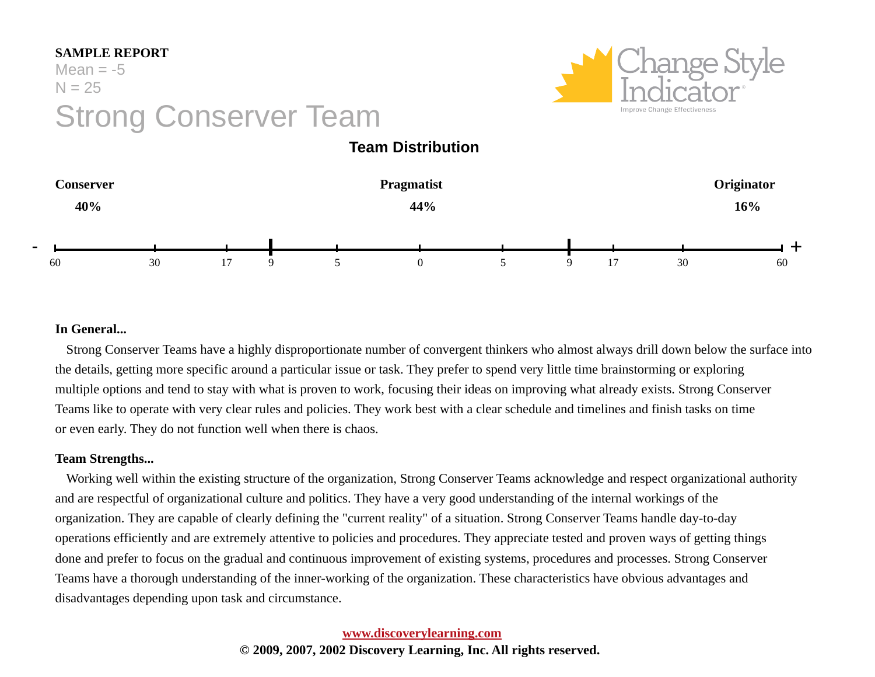### **SAMPLE REPORT**

## $Mean = -5$  $N = 25$ Strong Conserver Team



### **Team Distribution**



#### **In General...**

Strong Conserver Teams have a highly disproportionate number of convergent thinkers who almost always drill down below the surface into the details, getting more specific around a particular issue or task. They prefer to spend very little time brainstorming or exploring multiple options and tend to stay with what is proven to work, focusing their ideas on improving what already exists. Strong Conserver Teams like to operate with very clear rules and policies. They work best with a clear schedule and timelines and finish tasks on time or even early. They do not function well when there is chaos.

#### **Team Strengths...**

Working well within the existing structure of the organization, Strong Conserver Teams acknowledge and respect organizational authority and are respectful of organizational culture and politics. They have a very good understanding of the internal workings of the organization. They are capable of clearly defining the "current reality" of a situation. Strong Conserver Teams handle day-to-day operations efficiently and are extremely attentive to policies and procedures. They appreciate tested and proven ways of getting things done and prefer to focus on the gradual and continuous improvement of existing systems, procedures and processes. Strong Conserver Teams have a thorough understanding of the inner-working of the organization. These characteristics have obvious advantages and disadvantages depending upon task and circumstance.

> **www.discoverylearning.com © 2009, 2007, 2002 Discovery Learning, Inc. All rights reserved.**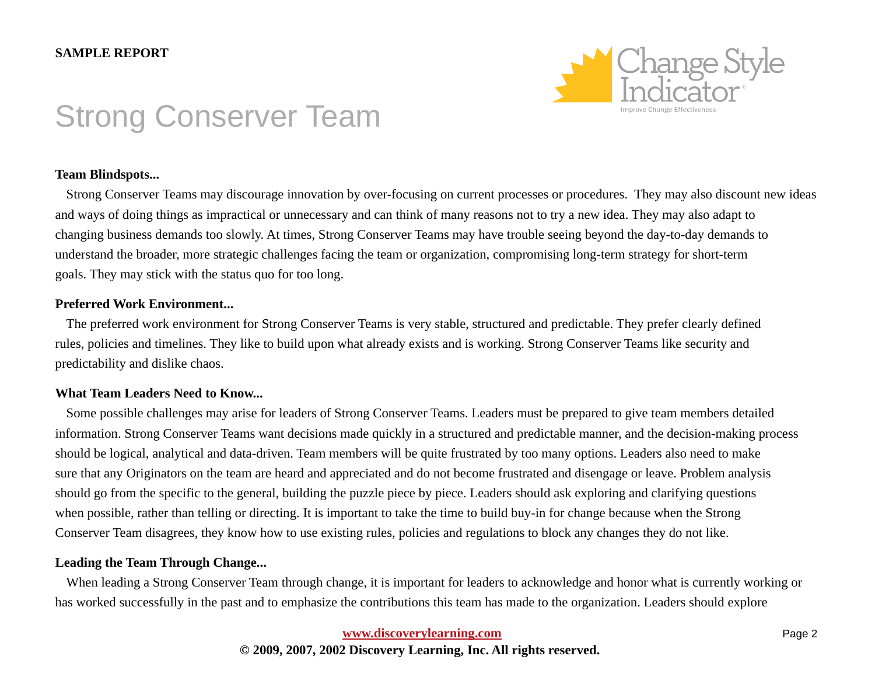

# Strong Conserver Team

#### **Team Blindspots...**

Strong Conserver Teams may discourage innovation by over-focusing on current processes or procedures. They may also discount new ideas and ways of doing things as impractical or unnecessary and can think of many reasons not to try a new idea. They may also adapt to changing business demands too slowly. At times, Strong Conserver Teams may have trouble seeing beyond the day-to-day demands to understand the broader, more strategic challenges facing the team or organization, compromising long-term strategy for short-term goals. They may stick with the status quo for too long.

#### **Preferred Work Environment...**

The preferred work environment for Strong Conserver Teams is very stable, structured and predictable. They prefer clearly defined rules, policies and timelines. They like to build upon what already exists and is working. Strong Conserver Teams like security and predictability and dislike chaos.

#### **What Team Leaders Need to Know...**

Some possible challenges may arise for leaders of Strong Conserver Teams. Leaders must be prepared to give team members detailed information. Strong Conserver Teams want decisions made quickly in a structured and predictable manner, and the decision-making process should be logical, analytical and data-driven. Team members will be quite frustrated by too many options. Leaders also need to make sure that any Originators on the team are heard and appreciated and do not become frustrated and disengage or leave. Problem analysis should go from the specific to the general, building the puzzle piece by piece. Leaders should ask exploring and clarifying questions when possible, rather than telling or directing. It is important to take the time to build buy-in for change because when the Strong Conserver Team disagrees, they know how to use existing rules, policies and regulations to block any changes they do not like.

#### **Leading the Team Through Change...**

When leading a Strong Conserver Team through change, it is important for leaders to acknowledge and honor what is currently working or has worked successfully in the past and to emphasize the contributions this team has made to the organization. Leaders should explore